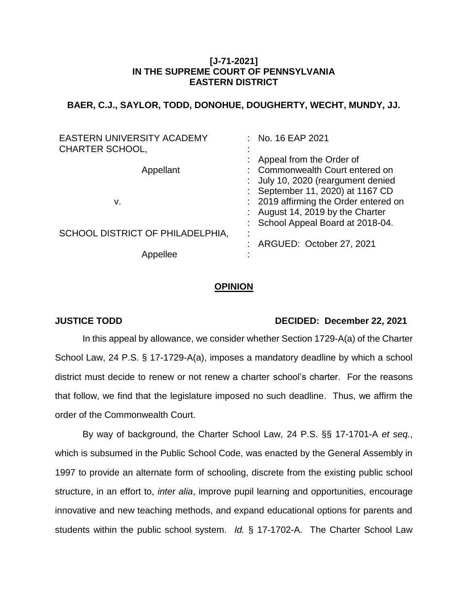## **[J-71-2021] IN THE SUPREME COURT OF PENNSYLVANIA EASTERN DISTRICT**

# **BAER, C.J., SAYLOR, TODD, DONOHUE, DOUGHERTY, WECHT, MUNDY, JJ.**

| EASTERN UNIVERSITY ACADEMY<br><b>CHARTER SCHOOL,</b> | : No. 16 EAP 2021                                                                                             |
|------------------------------------------------------|---------------------------------------------------------------------------------------------------------------|
| Appellant                                            | Appeal from the Order of<br>: Commonwealth Court entered on<br>: July 10, 2020 (reargument denied             |
| v.                                                   | : September 11, 2020) at 1167 CD<br>: 2019 affirming the Order entered on<br>: August 14, 2019 by the Charter |
| SCHOOL DISTRICT OF PHILADELPHIA,                     | : School Appeal Board at 2018-04.                                                                             |
| lee                                                  | ARGUED: October 27, 2021                                                                                      |

#### **OPINION**

### **JUSTICE TODD DECIDED: December 22, 2021**

In this appeal by allowance, we consider whether Section 1729-A(a) of the Charter School Law, 24 P.S. § 17-1729-A(a), imposes a mandatory deadline by which a school district must decide to renew or not renew a charter school's charter. For the reasons that follow, we find that the legislature imposed no such deadline. Thus, we affirm the order of the Commonwealth Court.

By way of background, the Charter School Law, 24 P.S. §§ 17-1701-A *et seq.*, which is subsumed in the Public School Code, was enacted by the General Assembly in 1997 to provide an alternate form of schooling, discrete from the existing public school structure, in an effort to, *inter alia*, improve pupil learning and opportunities, encourage innovative and new teaching methods, and expand educational options for parents and students within the public school system. *Id.* § 17-1702-A. The Charter School Law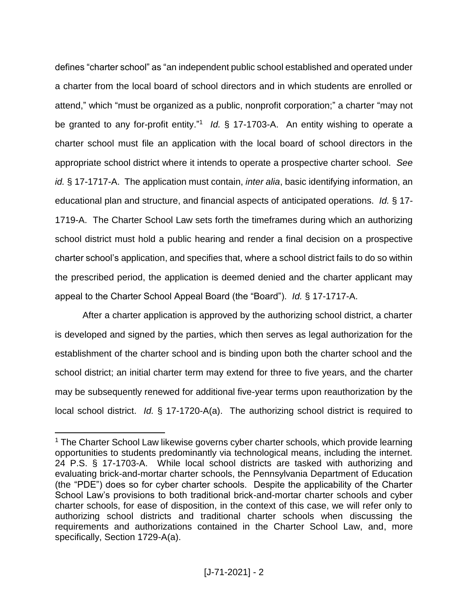defines "charter school" as "an independent public school established and operated under a charter from the local board of school directors and in which students are enrolled or attend," which "must be organized as a public, nonprofit corporation;" a charter "may not be granted to any for-profit entity."<sup>1</sup> Id. § 17-1703-A. An entity wishing to operate a charter school must file an application with the local board of school directors in the appropriate school district where it intends to operate a prospective charter school. *See id.* § 17-1717-A. The application must contain, *inter alia*, basic identifying information, an educational plan and structure, and financial aspects of anticipated operations. *Id.* § 17- 1719-A. The Charter School Law sets forth the timeframes during which an authorizing school district must hold a public hearing and render a final decision on a prospective charter school's application, and specifies that, where a school district fails to do so within the prescribed period, the application is deemed denied and the charter applicant may appeal to the Charter School Appeal Board (the "Board"). *Id.* § 17-1717-A.

After a charter application is approved by the authorizing school district, a charter is developed and signed by the parties, which then serves as legal authorization for the establishment of the charter school and is binding upon both the charter school and the school district; an initial charter term may extend for three to five years, and the charter may be subsequently renewed for additional five-year terms upon reauthorization by the local school district. *Id.* § 17-1720-A(a). The authorizing school district is required to

<sup>&</sup>lt;sup>1</sup> The Charter School Law likewise governs cyber charter schools, which provide learning opportunities to students predominantly via technological means, including the internet. 24 P.S. § 17-1703-A. While local school districts are tasked with authorizing and evaluating brick-and-mortar charter schools, the Pennsylvania Department of Education (the "PDE") does so for cyber charter schools. Despite the applicability of the Charter School Law's provisions to both traditional brick-and-mortar charter schools and cyber charter schools, for ease of disposition, in the context of this case, we will refer only to authorizing school districts and traditional charter schools when discussing the requirements and authorizations contained in the Charter School Law, and, more specifically, Section 1729-A(a).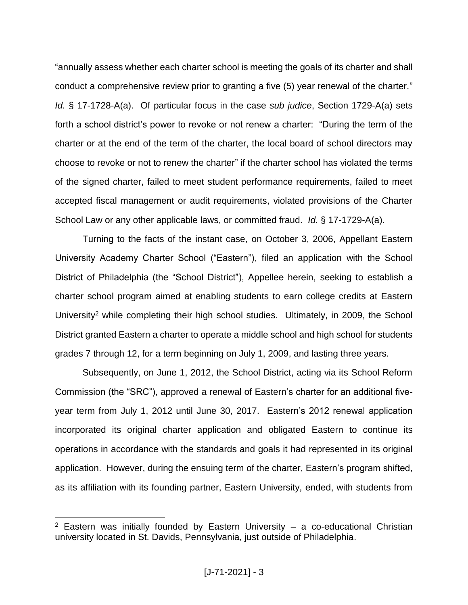"annually assess whether each charter school is meeting the goals of its charter and shall conduct a comprehensive review prior to granting a five (5) year renewal of the charter." *Id.* § 17-1728-A(a). Of particular focus in the case *sub judice*, Section 1729-A(a) sets forth a school district's power to revoke or not renew a charter: "During the term of the charter or at the end of the term of the charter, the local board of school directors may choose to revoke or not to renew the charter" if the charter school has violated the terms of the signed charter, failed to meet student performance requirements, failed to meet accepted fiscal management or audit requirements, violated provisions of the Charter School Law or any other applicable laws, or committed fraud. *Id.* § 17-1729-A(a).

Turning to the facts of the instant case, on October 3, 2006, Appellant Eastern University Academy Charter School ("Eastern"), filed an application with the School District of Philadelphia (the "School District"), Appellee herein, seeking to establish a charter school program aimed at enabling students to earn college credits at Eastern University<sup>2</sup> while completing their high school studies. Ultimately, in 2009, the School District granted Eastern a charter to operate a middle school and high school for students grades 7 through 12, for a term beginning on July 1, 2009, and lasting three years.

Subsequently, on June 1, 2012, the School District, acting via its School Reform Commission (the "SRC"), approved a renewal of Eastern's charter for an additional fiveyear term from July 1, 2012 until June 30, 2017. Eastern's 2012 renewal application incorporated its original charter application and obligated Eastern to continue its operations in accordance with the standards and goals it had represented in its original application. However, during the ensuing term of the charter, Eastern's program shifted, as its affiliation with its founding partner, Eastern University, ended, with students from

 $2$  Eastern was initially founded by Eastern University – a co-educational Christian university located in St. Davids, Pennsylvania, just outside of Philadelphia.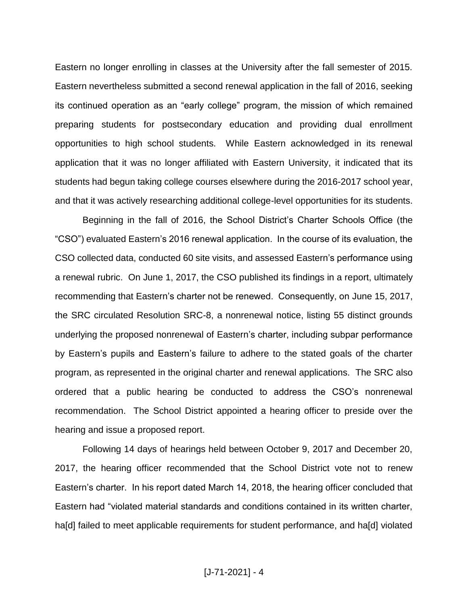Eastern no longer enrolling in classes at the University after the fall semester of 2015. Eastern nevertheless submitted a second renewal application in the fall of 2016, seeking its continued operation as an "early college" program, the mission of which remained preparing students for postsecondary education and providing dual enrollment opportunities to high school students. While Eastern acknowledged in its renewal application that it was no longer affiliated with Eastern University, it indicated that its students had begun taking college courses elsewhere during the 2016-2017 school year, and that it was actively researching additional college-level opportunities for its students.

Beginning in the fall of 2016, the School District's Charter Schools Office (the "CSO") evaluated Eastern's 2016 renewal application. In the course of its evaluation, the CSO collected data, conducted 60 site visits, and assessed Eastern's performance using a renewal rubric. On June 1, 2017, the CSO published its findings in a report, ultimately recommending that Eastern's charter not be renewed. Consequently, on June 15, 2017, the SRC circulated Resolution SRC-8, a nonrenewal notice, listing 55 distinct grounds underlying the proposed nonrenewal of Eastern's charter, including subpar performance by Eastern's pupils and Eastern's failure to adhere to the stated goals of the charter program, as represented in the original charter and renewal applications. The SRC also ordered that a public hearing be conducted to address the CSO's nonrenewal recommendation. The School District appointed a hearing officer to preside over the hearing and issue a proposed report.

Following 14 days of hearings held between October 9, 2017 and December 20, 2017, the hearing officer recommended that the School District vote not to renew Eastern's charter. In his report dated March 14, 2018, the hearing officer concluded that Eastern had "violated material standards and conditions contained in its written charter, ha<sup>[d]</sup> failed to meet applicable requirements for student performance, and ha<sup>[d]</sup> violated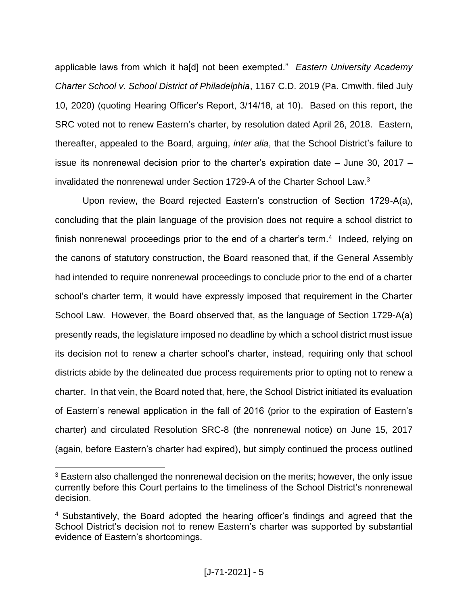applicable laws from which it ha[d] not been exempted." *Eastern University Academy Charter School v. School District of Philadelphia*, 1167 C.D. 2019 (Pa. Cmwlth. filed July 10, 2020) (quoting Hearing Officer's Report, 3/14/18, at 10). Based on this report, the SRC voted not to renew Eastern's charter, by resolution dated April 26, 2018. Eastern, thereafter, appealed to the Board, arguing, *inter alia*, that the School District's failure to issue its nonrenewal decision prior to the charter's expiration date – June 30, 2017 – invalidated the nonrenewal under Section 1729-A of the Charter School Law. 3

Upon review, the Board rejected Eastern's construction of Section 1729-A(a), concluding that the plain language of the provision does not require a school district to finish nonrenewal proceedings prior to the end of a charter's term. $4$  Indeed, relying on the canons of statutory construction, the Board reasoned that, if the General Assembly had intended to require nonrenewal proceedings to conclude prior to the end of a charter school's charter term, it would have expressly imposed that requirement in the Charter School Law. However, the Board observed that, as the language of Section 1729-A(a) presently reads, the legislature imposed no deadline by which a school district must issue its decision not to renew a charter school's charter, instead, requiring only that school districts abide by the delineated due process requirements prior to opting not to renew a charter. In that vein, the Board noted that, here, the School District initiated its evaluation of Eastern's renewal application in the fall of 2016 (prior to the expiration of Eastern's charter) and circulated Resolution SRC-8 (the nonrenewal notice) on June 15, 2017 (again, before Eastern's charter had expired), but simply continued the process outlined

<sup>&</sup>lt;sup>3</sup> Eastern also challenged the nonrenewal decision on the merits; however, the only issue currently before this Court pertains to the timeliness of the School District's nonrenewal decision.

<sup>&</sup>lt;sup>4</sup> Substantively, the Board adopted the hearing officer's findings and agreed that the School District's decision not to renew Eastern's charter was supported by substantial evidence of Eastern's shortcomings.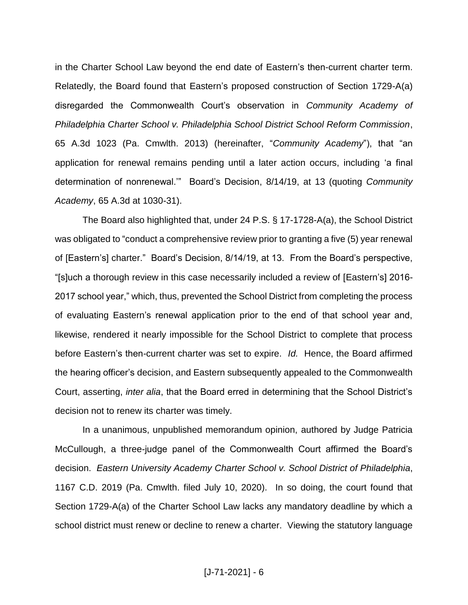in the Charter School Law beyond the end date of Eastern's then-current charter term. Relatedly, the Board found that Eastern's proposed construction of Section 1729-A(a) disregarded the Commonwealth Court's observation in *Community Academy of Philadelphia Charter School v. Philadelphia School District School Reform Commission*, 65 A.3d 1023 (Pa. Cmwlth. 2013) (hereinafter, "*Community Academy*"), that "an application for renewal remains pending until a later action occurs, including 'a final determination of nonrenewal.'" Board's Decision, 8/14/19, at 13 (quoting *Community Academy*, 65 A.3d at 1030-31).

The Board also highlighted that, under 24 P.S. § 17-1728-A(a), the School District was obligated to "conduct a comprehensive review prior to granting a five (5) year renewal of [Eastern's] charter." Board's Decision, 8/14/19, at 13. From the Board's perspective, "[s]uch a thorough review in this case necessarily included a review of [Eastern's] 2016- 2017 school year," which, thus, prevented the School District from completing the process of evaluating Eastern's renewal application prior to the end of that school year and, likewise, rendered it nearly impossible for the School District to complete that process before Eastern's then-current charter was set to expire. *Id.* Hence, the Board affirmed the hearing officer's decision, and Eastern subsequently appealed to the Commonwealth Court, asserting, *inter alia*, that the Board erred in determining that the School District's decision not to renew its charter was timely.

In a unanimous, unpublished memorandum opinion, authored by Judge Patricia McCullough, a three-judge panel of the Commonwealth Court affirmed the Board's decision. *Eastern University Academy Charter School v. School District of Philadelphia*, 1167 C.D. 2019 (Pa. Cmwlth. filed July 10, 2020). In so doing, the court found that Section 1729-A(a) of the Charter School Law lacks any mandatory deadline by which a school district must renew or decline to renew a charter. Viewing the statutory language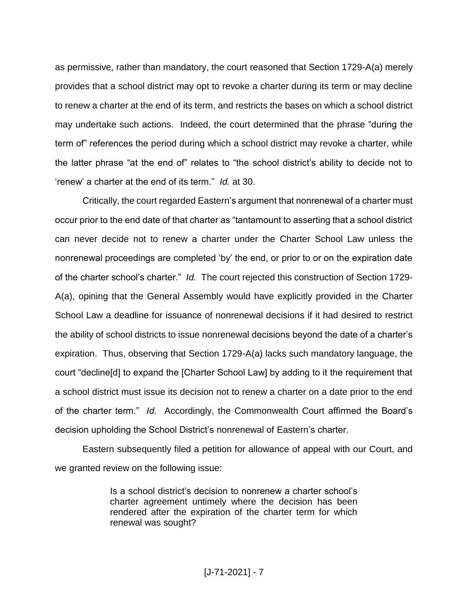as permissive, rather than mandatory, the court reasoned that Section 1729-A(a) merely provides that a school district may opt to revoke a charter during its term or may decline to renew a charter at the end of its term, and restricts the bases on which a school district may undertake such actions. Indeed, the court determined that the phrase "during the term of" references the period during which a school district may revoke a charter, while the latter phrase "at the end of" relates to "the school district's ability to decide not to 'renew' a charter at the end of its term." *Id.* at 30.

Critically, the court regarded Eastern's argument that nonrenewal of a charter must occur prior to the end date of that charter as "tantamount to asserting that a school district can never decide not to renew a charter under the Charter School Law unless the nonrenewal proceedings are completed 'by' the end, or prior to or on the expiration date of the charter school's charter." *Id.* The court rejected this construction of Section 1729- A(a), opining that the General Assembly would have explicitly provided in the Charter School Law a deadline for issuance of nonrenewal decisions if it had desired to restrict the ability of school districts to issue nonrenewal decisions beyond the date of a charter's expiration. Thus, observing that Section 1729-A(a) lacks such mandatory language, the court "decline[d] to expand the [Charter School Law] by adding to it the requirement that a school district must issue its decision not to renew a charter on a date prior to the end of the charter term." *Id.* Accordingly, the Commonwealth Court affirmed the Board's decision upholding the School District's nonrenewal of Eastern's charter.

Eastern subsequently filed a petition for allowance of appeal with our Court, and we granted review on the following issue:

> Is a school district's decision to nonrenew a charter school's charter agreement untimely where the decision has been rendered after the expiration of the charter term for which renewal was sought?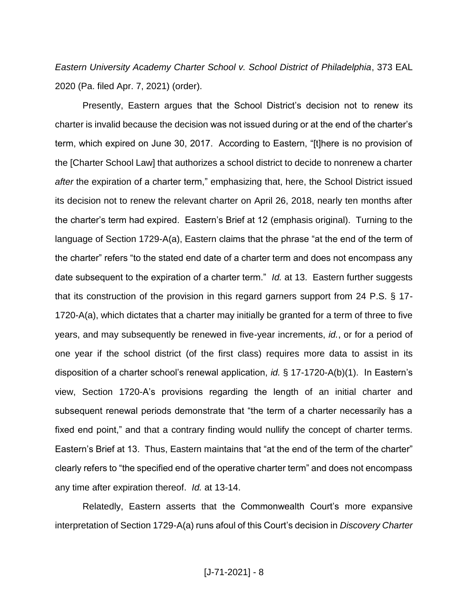*Eastern University Academy Charter School v. School District of Philadelphia*, 373 EAL 2020 (Pa. filed Apr. 7, 2021) (order).

Presently, Eastern argues that the School District's decision not to renew its charter is invalid because the decision was not issued during or at the end of the charter's term, which expired on June 30, 2017. According to Eastern, "[t]here is no provision of the [Charter School Law] that authorizes a school district to decide to nonrenew a charter *after* the expiration of a charter term," emphasizing that, here, the School District issued its decision not to renew the relevant charter on April 26, 2018, nearly ten months after the charter's term had expired. Eastern's Brief at 12 (emphasis original). Turning to the language of Section 1729-A(a), Eastern claims that the phrase "at the end of the term of the charter" refers "to the stated end date of a charter term and does not encompass any date subsequent to the expiration of a charter term." *Id.* at 13. Eastern further suggests that its construction of the provision in this regard garners support from 24 P.S. § 17- 1720-A(a), which dictates that a charter may initially be granted for a term of three to five years, and may subsequently be renewed in five-year increments, *id.*, or for a period of one year if the school district (of the first class) requires more data to assist in its disposition of a charter school's renewal application, *id.* § 17-1720-A(b)(1). In Eastern's view, Section 1720-A's provisions regarding the length of an initial charter and subsequent renewal periods demonstrate that "the term of a charter necessarily has a fixed end point," and that a contrary finding would nullify the concept of charter terms. Eastern's Brief at 13. Thus, Eastern maintains that "at the end of the term of the charter" clearly refers to "the specified end of the operative charter term" and does not encompass any time after expiration thereof. *Id.* at 13-14.

Relatedly, Eastern asserts that the Commonwealth Court's more expansive interpretation of Section 1729-A(a) runs afoul of this Court's decision in *Discovery Charter*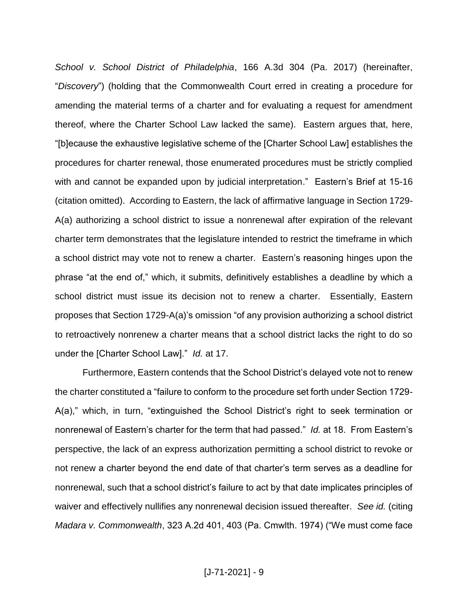*School v. School District of Philadelphia*, 166 A.3d 304 (Pa. 2017) (hereinafter, "*Discovery*") (holding that the Commonwealth Court erred in creating a procedure for amending the material terms of a charter and for evaluating a request for amendment thereof, where the Charter School Law lacked the same). Eastern argues that, here, "[b]ecause the exhaustive legislative scheme of the [Charter School Law] establishes the procedures for charter renewal, those enumerated procedures must be strictly complied with and cannot be expanded upon by judicial interpretation." Eastern's Brief at 15-16 (citation omitted). According to Eastern, the lack of affirmative language in Section 1729- A(a) authorizing a school district to issue a nonrenewal after expiration of the relevant charter term demonstrates that the legislature intended to restrict the timeframe in which a school district may vote not to renew a charter. Eastern's reasoning hinges upon the phrase "at the end of," which, it submits, definitively establishes a deadline by which a school district must issue its decision not to renew a charter. Essentially, Eastern proposes that Section 1729-A(a)'s omission "of any provision authorizing a school district to retroactively nonrenew a charter means that a school district lacks the right to do so under the [Charter School Law]." *Id.* at 17.

Furthermore, Eastern contends that the School District's delayed vote not to renew the charter constituted a "failure to conform to the procedure set forth under Section 1729- A(a)," which, in turn, "extinguished the School District's right to seek termination or nonrenewal of Eastern's charter for the term that had passed." *Id.* at 18. From Eastern's perspective, the lack of an express authorization permitting a school district to revoke or not renew a charter beyond the end date of that charter's term serves as a deadline for nonrenewal, such that a school district's failure to act by that date implicates principles of waiver and effectively nullifies any nonrenewal decision issued thereafter. *See id.* (citing *Madara v. Commonwealth*, 323 A.2d 401, 403 (Pa. Cmwlth. 1974) ("We must come face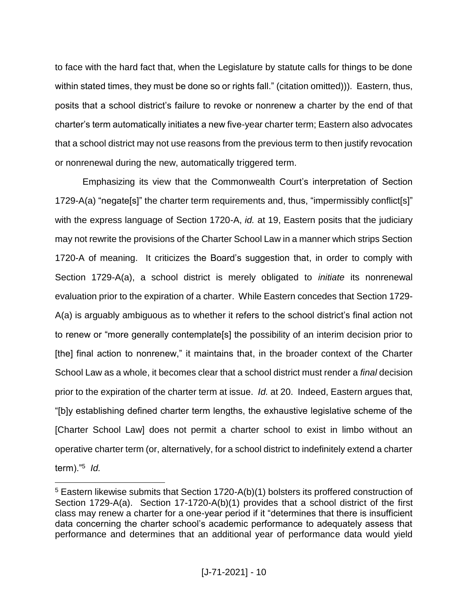to face with the hard fact that, when the Legislature by statute calls for things to be done within stated times, they must be done so or rights fall." (citation omitted))). Eastern, thus, posits that a school district's failure to revoke or nonrenew a charter by the end of that charter's term automatically initiates a new five-year charter term; Eastern also advocates that a school district may not use reasons from the previous term to then justify revocation or nonrenewal during the new, automatically triggered term.

Emphasizing its view that the Commonwealth Court's interpretation of Section 1729-A(a) "negate[s]" the charter term requirements and, thus, "impermissibly conflict[s]" with the express language of Section 1720-A, *id.* at 19, Eastern posits that the judiciary may not rewrite the provisions of the Charter School Law in a manner which strips Section 1720-A of meaning. It criticizes the Board's suggestion that, in order to comply with Section 1729-A(a), a school district is merely obligated to *initiate* its nonrenewal evaluation prior to the expiration of a charter. While Eastern concedes that Section 1729- A(a) is arguably ambiguous as to whether it refers to the school district's final action not to renew or "more generally contemplate[s] the possibility of an interim decision prior to [the] final action to nonrenew," it maintains that, in the broader context of the Charter School Law as a whole, it becomes clear that a school district must render a *final* decision prior to the expiration of the charter term at issue. *Id.* at 20. Indeed, Eastern argues that, "[b]y establishing defined charter term lengths, the exhaustive legislative scheme of the [Charter School Law] does not permit a charter school to exist in limbo without an operative charter term (or, alternatively, for a school district to indefinitely extend a charter term)."<sup>5</sup> *Id.*

<sup>5</sup> Eastern likewise submits that Section 1720-A(b)(1) bolsters its proffered construction of Section 1729-A(a). Section 17-1720-A(b)(1) provides that a school district of the first class may renew a charter for a one-year period if it "determines that there is insufficient data concerning the charter school's academic performance to adequately assess that performance and determines that an additional year of performance data would yield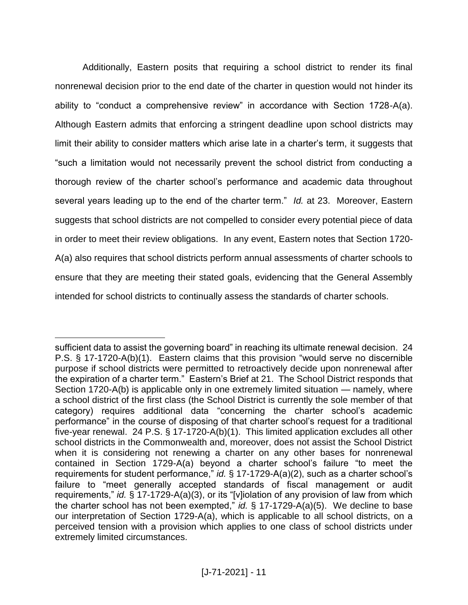Additionally, Eastern posits that requiring a school district to render its final nonrenewal decision prior to the end date of the charter in question would not hinder its ability to "conduct a comprehensive review" in accordance with Section 1728-A(a). Although Eastern admits that enforcing a stringent deadline upon school districts may limit their ability to consider matters which arise late in a charter's term, it suggests that "such a limitation would not necessarily prevent the school district from conducting a thorough review of the charter school's performance and academic data throughout several years leading up to the end of the charter term." *Id.* at 23. Moreover, Eastern suggests that school districts are not compelled to consider every potential piece of data in order to meet their review obligations. In any event, Eastern notes that Section 1720- A(a) also requires that school districts perform annual assessments of charter schools to ensure that they are meeting their stated goals, evidencing that the General Assembly intended for school districts to continually assess the standards of charter schools.

sufficient data to assist the governing board" in reaching its ultimate renewal decision. 24 P.S. § 17-1720-A(b)(1). Eastern claims that this provision "would serve no discernible purpose if school districts were permitted to retroactively decide upon nonrenewal after the expiration of a charter term." Eastern's Brief at 21. The School District responds that Section 1720-A(b) is applicable only in one extremely limited situation — namely, where a school district of the first class (the School District is currently the sole member of that category) requires additional data "concerning the charter school's academic performance" in the course of disposing of that charter school's request for a traditional five-year renewal. 24 P.S. § 17-1720-A(b)(1). This limited application excludes all other school districts in the Commonwealth and, moreover, does not assist the School District when it is considering not renewing a charter on any other bases for nonrenewal contained in Section 1729-A(a) beyond a charter school's failure "to meet the requirements for student performance," *id.* § 17-1729-A(a)(2), such as a charter school's failure to "meet generally accepted standards of fiscal management or audit requirements," *id.* § 17-1729-A(a)(3), or its "[v]iolation of any provision of law from which the charter school has not been exempted," *id.* § 17-1729-A(a)(5). We decline to base our interpretation of Section 1729-A(a), which is applicable to all school districts, on a perceived tension with a provision which applies to one class of school districts under extremely limited circumstances.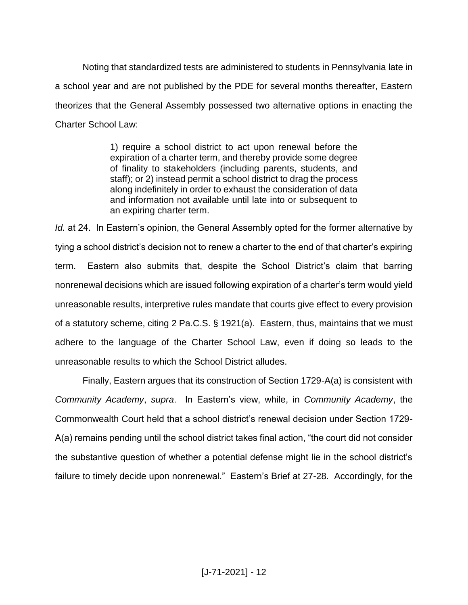Noting that standardized tests are administered to students in Pennsylvania late in a school year and are not published by the PDE for several months thereafter, Eastern theorizes that the General Assembly possessed two alternative options in enacting the Charter School Law:

> 1) require a school district to act upon renewal before the expiration of a charter term, and thereby provide some degree of finality to stakeholders (including parents, students, and staff); or 2) instead permit a school district to drag the process along indefinitely in order to exhaust the consideration of data and information not available until late into or subsequent to an expiring charter term.

*Id.* at 24. In Eastern's opinion, the General Assembly opted for the former alternative by tying a school district's decision not to renew a charter to the end of that charter's expiring term. Eastern also submits that, despite the School District's claim that barring nonrenewal decisions which are issued following expiration of a charter's term would yield unreasonable results, interpretive rules mandate that courts give effect to every provision of a statutory scheme, citing 2 Pa.C.S. § 1921(a). Eastern, thus, maintains that we must adhere to the language of the Charter School Law, even if doing so leads to the unreasonable results to which the School District alludes.

Finally, Eastern argues that its construction of Section 1729-A(a) is consistent with *Community Academy*, *supra*. In Eastern's view, while, in *Community Academy*, the Commonwealth Court held that a school district's renewal decision under Section 1729- A(a) remains pending until the school district takes final action, "the court did not consider the substantive question of whether a potential defense might lie in the school district's failure to timely decide upon nonrenewal." Eastern's Brief at 27-28. Accordingly, for the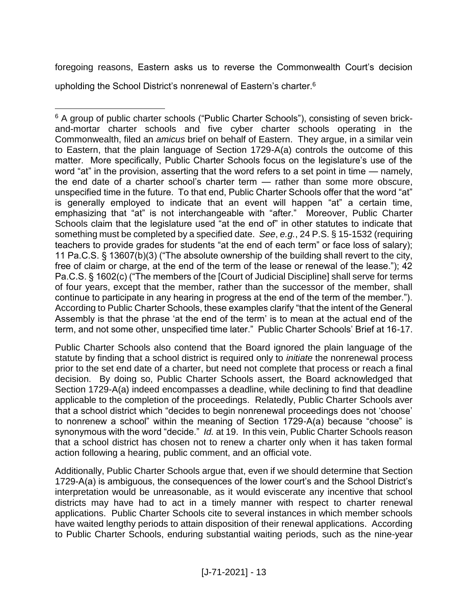foregoing reasons, Eastern asks us to reverse the Commonwealth Court's decision upholding the School District's nonrenewal of Eastern's charter.<sup>6</sup>

 $\overline{a}$ <sup>6</sup> A group of public charter schools ("Public Charter Schools"), consisting of seven brickand-mortar charter schools and five cyber charter schools operating in the Commonwealth, filed an *amicus* brief on behalf of Eastern. They argue, in a similar vein to Eastern, that the plain language of Section 1729-A(a) controls the outcome of this matter. More specifically, Public Charter Schools focus on the legislature's use of the word "at" in the provision, asserting that the word refers to a set point in time — namely, the end date of a charter school's charter term — rather than some more obscure, unspecified time in the future. To that end, Public Charter Schools offer that the word "at" is generally employed to indicate that an event will happen "at" a certain time, emphasizing that "at" is not interchangeable with "after." Moreover, Public Charter Schools claim that the legislature used "at the end of" in other statutes to indicate that something must be completed by a specified date. *See*, *e.g.*, 24 P.S. § 15-1532 (requiring teachers to provide grades for students "at the end of each term" or face loss of salary); 11 Pa.C.S. § 13607(b)(3) ("The absolute ownership of the building shall revert to the city, free of claim or charge, at the end of the term of the lease or renewal of the lease."): 42 Pa.C.S. § 1602(c) ("The members of the [Court of Judicial Discipline] shall serve for terms of four years, except that the member, rather than the successor of the member, shall continue to participate in any hearing in progress at the end of the term of the member."). According to Public Charter Schools, these examples clarify "that the intent of the General Assembly is that the phrase 'at the end of the term' is to mean at the actual end of the term, and not some other, unspecified time later." Public Charter Schools' Brief at 16-17.

Public Charter Schools also contend that the Board ignored the plain language of the statute by finding that a school district is required only to *initiate* the nonrenewal process prior to the set end date of a charter, but need not complete that process or reach a final decision. By doing so, Public Charter Schools assert, the Board acknowledged that Section 1729-A(a) indeed encompasses a deadline, while declining to find that deadline applicable to the completion of the proceedings. Relatedly, Public Charter Schools aver that a school district which "decides to begin nonrenewal proceedings does not 'choose' to nonrenew a school" within the meaning of Section 1729-A(a) because "choose" is synonymous with the word "decide." *Id.* at 19. In this vein, Public Charter Schools reason that a school district has chosen not to renew a charter only when it has taken formal action following a hearing, public comment, and an official vote.

Additionally, Public Charter Schools argue that, even if we should determine that Section 1729-A(a) is ambiguous, the consequences of the lower court's and the School District's interpretation would be unreasonable, as it would eviscerate any incentive that school districts may have had to act in a timely manner with respect to charter renewal applications. Public Charter Schools cite to several instances in which member schools have waited lengthy periods to attain disposition of their renewal applications. According to Public Charter Schools, enduring substantial waiting periods, such as the nine-year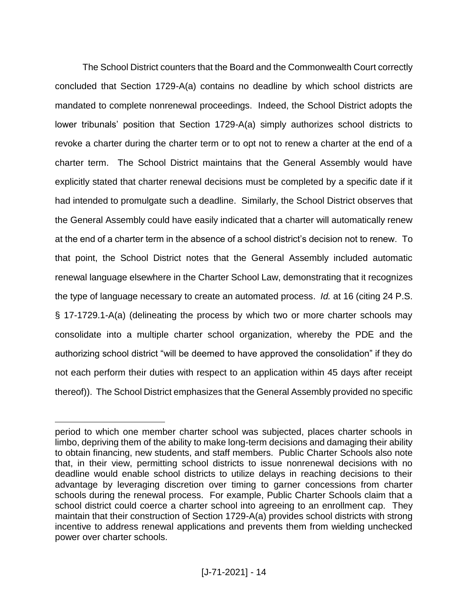The School District counters that the Board and the Commonwealth Court correctly concluded that Section 1729-A(a) contains no deadline by which school districts are mandated to complete nonrenewal proceedings. Indeed, the School District adopts the lower tribunals' position that Section 1729-A(a) simply authorizes school districts to revoke a charter during the charter term or to opt not to renew a charter at the end of a charter term. The School District maintains that the General Assembly would have explicitly stated that charter renewal decisions must be completed by a specific date if it had intended to promulgate such a deadline. Similarly, the School District observes that the General Assembly could have easily indicated that a charter will automatically renew at the end of a charter term in the absence of a school district's decision not to renew. To that point, the School District notes that the General Assembly included automatic renewal language elsewhere in the Charter School Law, demonstrating that it recognizes the type of language necessary to create an automated process. *Id.* at 16 (citing 24 P.S. § 17-1729.1-A(a) (delineating the process by which two or more charter schools may consolidate into a multiple charter school organization, whereby the PDE and the authorizing school district "will be deemed to have approved the consolidation" if they do not each perform their duties with respect to an application within 45 days after receipt thereof)). The School District emphasizes that the General Assembly provided no specific

period to which one member charter school was subjected, places charter schools in limbo, depriving them of the ability to make long-term decisions and damaging their ability to obtain financing, new students, and staff members. Public Charter Schools also note that, in their view, permitting school districts to issue nonrenewal decisions with no deadline would enable school districts to utilize delays in reaching decisions to their advantage by leveraging discretion over timing to garner concessions from charter schools during the renewal process. For example, Public Charter Schools claim that a school district could coerce a charter school into agreeing to an enrollment cap. They maintain that their construction of Section 1729-A(a) provides school districts with strong incentive to address renewal applications and prevents them from wielding unchecked power over charter schools.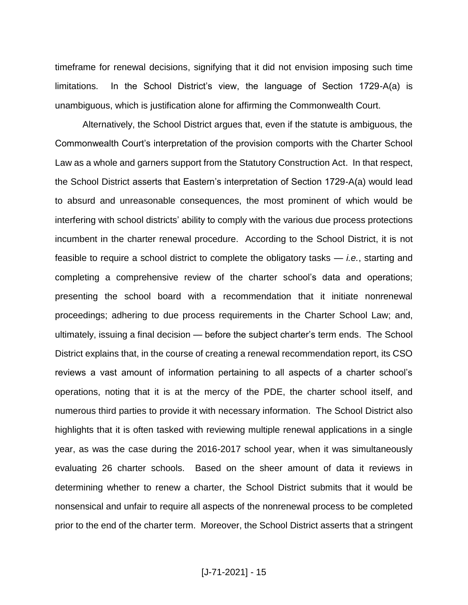timeframe for renewal decisions, signifying that it did not envision imposing such time limitations. In the School District's view, the language of Section 1729-A(a) is unambiguous, which is justification alone for affirming the Commonwealth Court.

Alternatively, the School District argues that, even if the statute is ambiguous, the Commonwealth Court's interpretation of the provision comports with the Charter School Law as a whole and garners support from the Statutory Construction Act. In that respect, the School District asserts that Eastern's interpretation of Section 1729-A(a) would lead to absurd and unreasonable consequences, the most prominent of which would be interfering with school districts' ability to comply with the various due process protections incumbent in the charter renewal procedure. According to the School District, it is not feasible to require a school district to complete the obligatory tasks — *i.e.*, starting and completing a comprehensive review of the charter school's data and operations; presenting the school board with a recommendation that it initiate nonrenewal proceedings; adhering to due process requirements in the Charter School Law; and, ultimately, issuing a final decision — before the subject charter's term ends. The School District explains that, in the course of creating a renewal recommendation report, its CSO reviews a vast amount of information pertaining to all aspects of a charter school's operations, noting that it is at the mercy of the PDE, the charter school itself, and numerous third parties to provide it with necessary information. The School District also highlights that it is often tasked with reviewing multiple renewal applications in a single year, as was the case during the 2016-2017 school year, when it was simultaneously evaluating 26 charter schools. Based on the sheer amount of data it reviews in determining whether to renew a charter, the School District submits that it would be nonsensical and unfair to require all aspects of the nonrenewal process to be completed prior to the end of the charter term. Moreover, the School District asserts that a stringent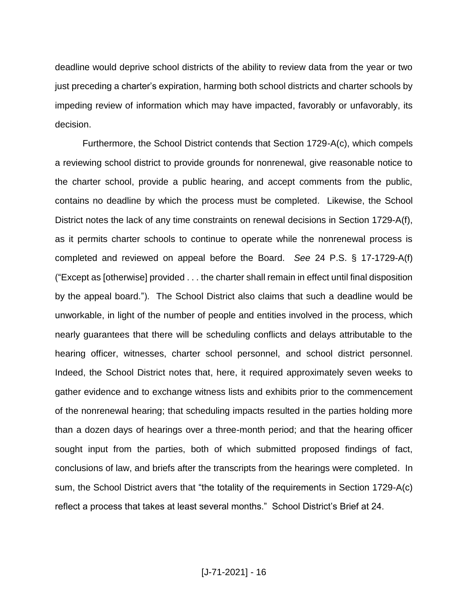deadline would deprive school districts of the ability to review data from the year or two just preceding a charter's expiration, harming both school districts and charter schools by impeding review of information which may have impacted, favorably or unfavorably, its decision.

Furthermore, the School District contends that Section 1729-A(c), which compels a reviewing school district to provide grounds for nonrenewal, give reasonable notice to the charter school, provide a public hearing, and accept comments from the public, contains no deadline by which the process must be completed. Likewise, the School District notes the lack of any time constraints on renewal decisions in Section 1729-A(f), as it permits charter schools to continue to operate while the nonrenewal process is completed and reviewed on appeal before the Board. *See* 24 P.S. § 17-1729-A(f) ("Except as [otherwise] provided . . . the charter shall remain in effect until final disposition by the appeal board."). The School District also claims that such a deadline would be unworkable, in light of the number of people and entities involved in the process, which nearly guarantees that there will be scheduling conflicts and delays attributable to the hearing officer, witnesses, charter school personnel, and school district personnel. Indeed, the School District notes that, here, it required approximately seven weeks to gather evidence and to exchange witness lists and exhibits prior to the commencement of the nonrenewal hearing; that scheduling impacts resulted in the parties holding more than a dozen days of hearings over a three-month period; and that the hearing officer sought input from the parties, both of which submitted proposed findings of fact, conclusions of law, and briefs after the transcripts from the hearings were completed. In sum, the School District avers that "the totality of the requirements in Section 1729-A(c) reflect a process that takes at least several months." School District's Brief at 24.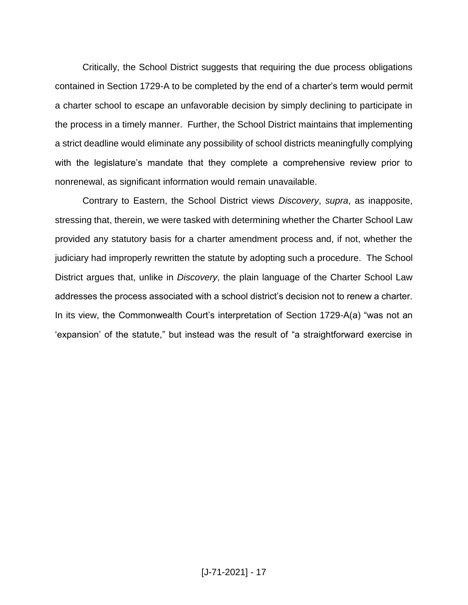Critically, the School District suggests that requiring the due process obligations contained in Section 1729-A to be completed by the end of a charter's term would permit a charter school to escape an unfavorable decision by simply declining to participate in the process in a timely manner. Further, the School District maintains that implementing a strict deadline would eliminate any possibility of school districts meaningfully complying with the legislature's mandate that they complete a comprehensive review prior to nonrenewal, as significant information would remain unavailable.

Contrary to Eastern, the School District views *Discovery*, *supra*, as inapposite, stressing that, therein, we were tasked with determining whether the Charter School Law provided any statutory basis for a charter amendment process and, if not, whether the judiciary had improperly rewritten the statute by adopting such a procedure. The School District argues that, unlike in *Discovery*, the plain language of the Charter School Law addresses the process associated with a school district's decision not to renew a charter. In its view, the Commonwealth Court's interpretation of Section 1729-A(a) "was not an 'expansion' of the statute," but instead was the result of "a straightforward exercise in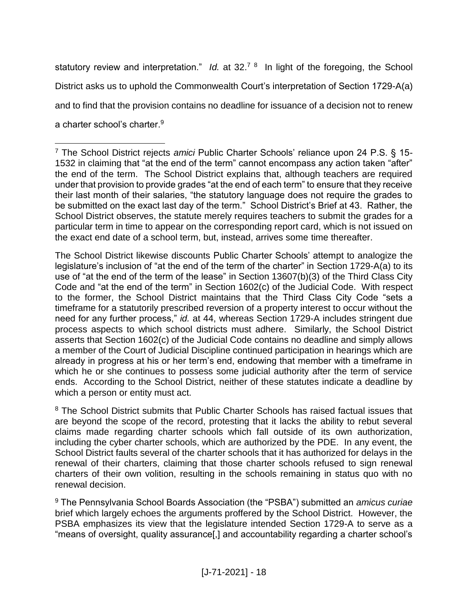statutory review and interpretation." *Id.* at 32.<sup>7</sup> <sup>8</sup> In light of the foregoing, the School District asks us to uphold the Commonwealth Court's interpretation of Section 1729-A(a) and to find that the provision contains no deadline for issuance of a decision not to renew a charter school's charter.<sup>9</sup>

The School District likewise discounts Public Charter Schools' attempt to analogize the legislature's inclusion of "at the end of the term of the charter" in Section 1729-A(a) to its use of "at the end of the term of the lease" in Section 13607(b)(3) of the Third Class City Code and "at the end of the term" in Section 1602(c) of the Judicial Code. With respect to the former, the School District maintains that the Third Class City Code "sets a timeframe for a statutorily prescribed reversion of a property interest to occur without the need for any further process," *id.* at 44, whereas Section 1729-A includes stringent due process aspects to which school districts must adhere. Similarly, the School District asserts that Section 1602(c) of the Judicial Code contains no deadline and simply allows a member of the Court of Judicial Discipline continued participation in hearings which are already in progress at his or her term's end, endowing that member with a timeframe in which he or she continues to possess some judicial authority after the term of service ends. According to the School District, neither of these statutes indicate a deadline by which a person or entity must act.

<sup>8</sup> The School District submits that Public Charter Schools has raised factual issues that are beyond the scope of the record, protesting that it lacks the ability to rebut several claims made regarding charter schools which fall outside of its own authorization, including the cyber charter schools, which are authorized by the PDE. In any event, the School District faults several of the charter schools that it has authorized for delays in the renewal of their charters, claiming that those charter schools refused to sign renewal charters of their own volition, resulting in the schools remaining in status quo with no renewal decision.

<sup>9</sup> The Pennsylvania School Boards Association (the "PSBA") submitted an *amicus curiae*  brief which largely echoes the arguments proffered by the School District. However, the PSBA emphasizes its view that the legislature intended Section 1729-A to serve as a "means of oversight, quality assurance[,] and accountability regarding a charter school's

 $\overline{a}$ <sup>7</sup> The School District rejects *amici* Public Charter Schools' reliance upon 24 P.S. § 15- 1532 in claiming that "at the end of the term" cannot encompass any action taken "after" the end of the term. The School District explains that, although teachers are required under that provision to provide grades "at the end of each term" to ensure that they receive their last month of their salaries, "the statutory language does not require the grades to be submitted on the exact last day of the term." School District's Brief at 43. Rather, the School District observes, the statute merely requires teachers to submit the grades for a particular term in time to appear on the corresponding report card, which is not issued on the exact end date of a school term, but, instead, arrives some time thereafter.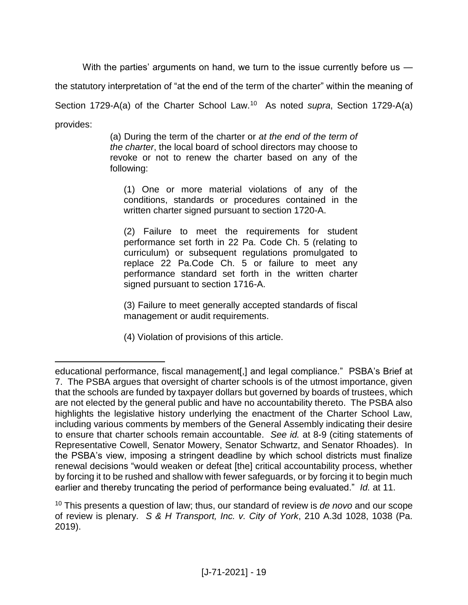With the parties' arguments on hand, we turn to the issue currently before us —

the statutory interpretation of "at the end of the term of the charter" within the meaning of

Section 1729-A(a) of the Charter School Law.<sup>10</sup> As noted *supra*, Section 1729-A(a)

provides:

 $\overline{a}$ 

(a) During the term of the charter or *at the end of the term of the charter*, the local board of school directors may choose to revoke or not to renew the charter based on any of the following:

(1) One or more material violations of any of the conditions, standards or procedures contained in the written charter signed pursuant to section 1720-A.

(2) Failure to meet the requirements for student performance set forth in 22 Pa. Code Ch. 5 (relating to curriculum) or subsequent regulations promulgated to replace 22 Pa.Code Ch. 5 or failure to meet any performance standard set forth in the written charter signed pursuant to section 1716-A.

(3) Failure to meet generally accepted standards of fiscal management or audit requirements.

(4) Violation of provisions of this article.

educational performance, fiscal management[,] and legal compliance." PSBA's Brief at 7. The PSBA argues that oversight of charter schools is of the utmost importance, given that the schools are funded by taxpayer dollars but governed by boards of trustees, which are not elected by the general public and have no accountability thereto. The PSBA also highlights the legislative history underlying the enactment of the Charter School Law, including various comments by members of the General Assembly indicating their desire to ensure that charter schools remain accountable. *See id.* at 8-9 (citing statements of Representative Cowell, Senator Mowery, Senator Schwartz, and Senator Rhoades). In the PSBA's view, imposing a stringent deadline by which school districts must finalize renewal decisions "would weaken or defeat [the] critical accountability process, whether by forcing it to be rushed and shallow with fewer safeguards, or by forcing it to begin much earlier and thereby truncating the period of performance being evaluated." *Id.* at 11.

<sup>10</sup> This presents a question of law; thus, our standard of review is *de novo* and our scope of review is plenary. *S & H Transport, Inc. v. City of York*, 210 A.3d 1028, 1038 (Pa. 2019).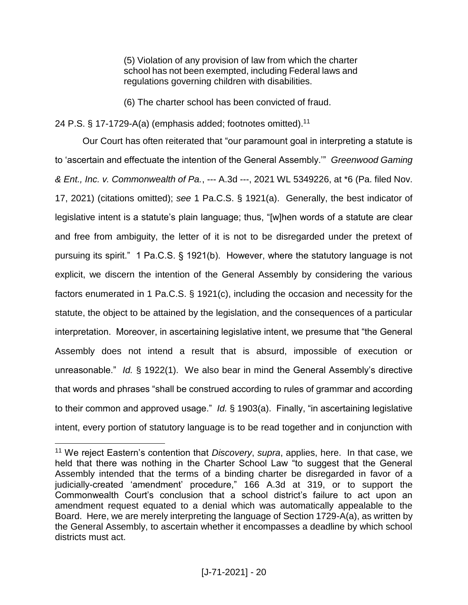(5) Violation of any provision of law from which the charter school has not been exempted, including Federal laws and regulations governing children with disabilities.

(6) The charter school has been convicted of fraud.

24 P.S. § 17-1729-A(a) (emphasis added; footnotes omitted).<sup>11</sup>

Our Court has often reiterated that "our paramount goal in interpreting a statute is to 'ascertain and effectuate the intention of the General Assembly.'" *Greenwood Gaming & Ent., Inc. v. Commonwealth of Pa.*, --- A.3d ---, 2021 WL 5349226, at \*6 (Pa. filed Nov. 17, 2021) (citations omitted); *see* 1 Pa.C.S. § 1921(a). Generally, the best indicator of legislative intent is a statute's plain language; thus, "[w]hen words of a statute are clear and free from ambiguity, the letter of it is not to be disregarded under the pretext of pursuing its spirit." 1 Pa.C.S. § 1921(b). However, where the statutory language is not explicit, we discern the intention of the General Assembly by considering the various factors enumerated in 1 Pa.C.S. § 1921(c), including the occasion and necessity for the statute, the object to be attained by the legislation, and the consequences of a particular interpretation. Moreover, in ascertaining legislative intent, we presume that "the General Assembly does not intend a result that is absurd, impossible of execution or unreasonable." *Id.* § 1922(1). We also bear in mind the General Assembly's directive that words and phrases "shall be construed according to rules of grammar and according to their common and approved usage." *Id.* § 1903(a). Finally, "in ascertaining legislative intent, every portion of statutory language is to be read together and in conjunction with

<sup>11</sup> We reject Eastern's contention that *Discovery*, *supra*, applies, here. In that case, we held that there was nothing in the Charter School Law "to suggest that the General Assembly intended that the terms of a binding charter be disregarded in favor of a judicially-created 'amendment' procedure," 166 A.3d at 319, or to support the Commonwealth Court's conclusion that a school district's failure to act upon an amendment request equated to a denial which was automatically appealable to the Board. Here, we are merely interpreting the language of Section 1729-A(a), as written by the General Assembly, to ascertain whether it encompasses a deadline by which school districts must act.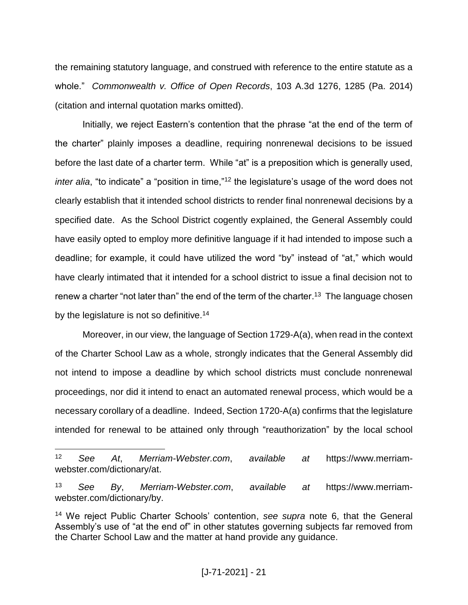the remaining statutory language, and construed with reference to the entire statute as a whole." *Commonwealth v. Office of Open Records*, 103 A.3d 1276, 1285 (Pa. 2014) (citation and internal quotation marks omitted).

Initially, we reject Eastern's contention that the phrase "at the end of the term of the charter" plainly imposes a deadline, requiring nonrenewal decisions to be issued before the last date of a charter term. While "at" is a preposition which is generally used, *inter alia*, "to indicate" a "position in time,"<sup>12</sup> the legislature's usage of the word does not clearly establish that it intended school districts to render final nonrenewal decisions by a specified date. As the School District cogently explained, the General Assembly could have easily opted to employ more definitive language if it had intended to impose such a deadline; for example, it could have utilized the word "by" instead of "at," which would have clearly intimated that it intended for a school district to issue a final decision not to renew a charter "not later than" the end of the term of the charter.<sup>13</sup> The language chosen by the legislature is not so definitive.<sup>14</sup>

Moreover, in our view, the language of Section 1729-A(a), when read in the context of the Charter School Law as a whole, strongly indicates that the General Assembly did not intend to impose a deadline by which school districts must conclude nonrenewal proceedings, nor did it intend to enact an automated renewal process, which would be a necessary corollary of a deadline. Indeed, Section 1720-A(a) confirms that the legislature intended for renewal to be attained only through "reauthorization" by the local school

<sup>12</sup> *See At*, *Merriam-Webster.com*, *available at* https://www.merriamwebster.com/dictionary/at.

<sup>13</sup> *See By*, *Merriam-Webster.com*, *available at* https://www.merriamwebster.com/dictionary/by.

<sup>14</sup> We reject Public Charter Schools' contention, *see supra* note 6, that the General Assembly's use of "at the end of" in other statutes governing subjects far removed from the Charter School Law and the matter at hand provide any guidance.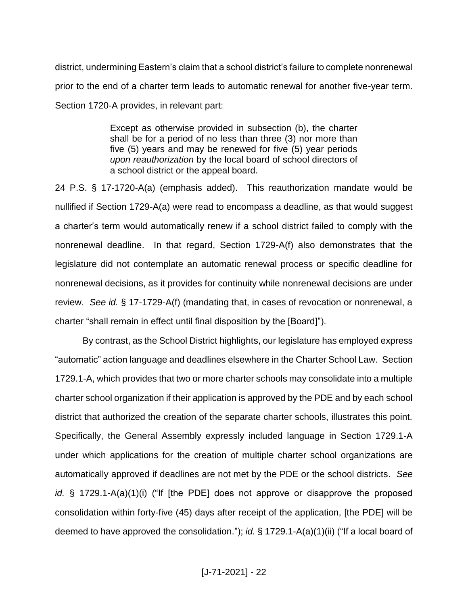district, undermining Eastern's claim that a school district's failure to complete nonrenewal prior to the end of a charter term leads to automatic renewal for another five-year term. Section 1720-A provides, in relevant part:

> Except as otherwise provided in subsection (b), the charter shall be for a period of no less than three (3) nor more than five (5) years and may be renewed for five (5) year periods *upon reauthorization* by the local board of school directors of a school district or the appeal board.

24 P.S. § 17-1720-A(a) (emphasis added). This reauthorization mandate would be nullified if Section 1729-A(a) were read to encompass a deadline, as that would suggest a charter's term would automatically renew if a school district failed to comply with the nonrenewal deadline. In that regard, Section 1729-A(f) also demonstrates that the legislature did not contemplate an automatic renewal process or specific deadline for nonrenewal decisions, as it provides for continuity while nonrenewal decisions are under review. *See id.* § 17-1729-A(f) (mandating that, in cases of revocation or nonrenewal, a charter "shall remain in effect until final disposition by the [Board]").

By contrast, as the School District highlights, our legislature has employed express "automatic" action language and deadlines elsewhere in the Charter School Law. Section 1729.1-A, which provides that two or more charter schools may consolidate into a multiple charter school organization if their application is approved by the PDE and by each school district that authorized the creation of the separate charter schools, illustrates this point. Specifically, the General Assembly expressly included language in Section 1729.1-A under which applications for the creation of multiple charter school organizations are automatically approved if deadlines are not met by the PDE or the school districts. *See id.* § 1729.1-A(a)(1)(i) ("If [the PDE] does not approve or disapprove the proposed consolidation within forty-five (45) days after receipt of the application, [the PDE] will be deemed to have approved the consolidation."); *id.* § 1729.1-A(a)(1)(ii) ("If a local board of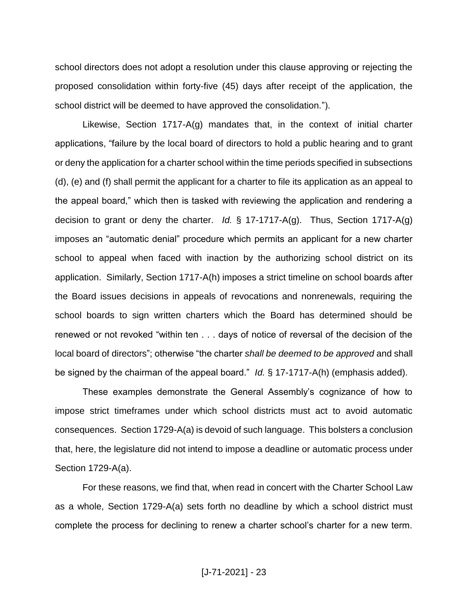school directors does not adopt a resolution under this clause approving or rejecting the proposed consolidation within forty-five (45) days after receipt of the application, the school district will be deemed to have approved the consolidation.").

Likewise, Section 1717-A(g) mandates that, in the context of initial charter applications, "failure by the local board of directors to hold a public hearing and to grant or deny the application for a charter school within the time periods specified in subsections (d), (e) and (f) shall permit the applicant for a charter to file its application as an appeal to the appeal board," which then is tasked with reviewing the application and rendering a decision to grant or deny the charter. *Id.* § 17-1717-A(g). Thus, Section 1717-A(g) imposes an "automatic denial" procedure which permits an applicant for a new charter school to appeal when faced with inaction by the authorizing school district on its application. Similarly, Section 1717-A(h) imposes a strict timeline on school boards after the Board issues decisions in appeals of revocations and nonrenewals, requiring the school boards to sign written charters which the Board has determined should be renewed or not revoked "within ten . . . days of notice of reversal of the decision of the local board of directors"; otherwise "the charter *shall be deemed to be approved* and shall be signed by the chairman of the appeal board." *Id.* § 17-1717-A(h) (emphasis added).

These examples demonstrate the General Assembly's cognizance of how to impose strict timeframes under which school districts must act to avoid automatic consequences. Section 1729-A(a) is devoid of such language. This bolsters a conclusion that, here, the legislature did not intend to impose a deadline or automatic process under Section 1729-A(a).

For these reasons, we find that, when read in concert with the Charter School Law as a whole, Section 1729-A(a) sets forth no deadline by which a school district must complete the process for declining to renew a charter school's charter for a new term.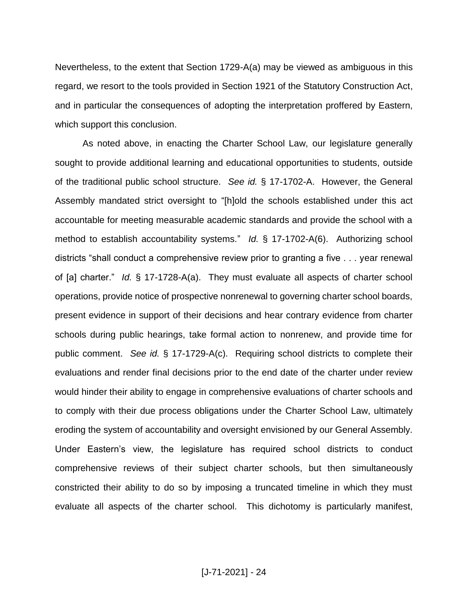Nevertheless, to the extent that Section 1729-A(a) may be viewed as ambiguous in this regard, we resort to the tools provided in Section 1921 of the Statutory Construction Act, and in particular the consequences of adopting the interpretation proffered by Eastern, which support this conclusion.

As noted above, in enacting the Charter School Law, our legislature generally sought to provide additional learning and educational opportunities to students, outside of the traditional public school structure. *See id.* § 17-1702-A. However, the General Assembly mandated strict oversight to "[h]old the schools established under this act accountable for meeting measurable academic standards and provide the school with a method to establish accountability systems." *Id.* § 17-1702-A(6). Authorizing school districts "shall conduct a comprehensive review prior to granting a five . . . year renewal of [a] charter." *Id.* § 17-1728-A(a). They must evaluate all aspects of charter school operations, provide notice of prospective nonrenewal to governing charter school boards, present evidence in support of their decisions and hear contrary evidence from charter schools during public hearings, take formal action to nonrenew, and provide time for public comment. *See id.* § 17-1729-A(c). Requiring school districts to complete their evaluations and render final decisions prior to the end date of the charter under review would hinder their ability to engage in comprehensive evaluations of charter schools and to comply with their due process obligations under the Charter School Law, ultimately eroding the system of accountability and oversight envisioned by our General Assembly. Under Eastern's view, the legislature has required school districts to conduct comprehensive reviews of their subject charter schools, but then simultaneously constricted their ability to do so by imposing a truncated timeline in which they must evaluate all aspects of the charter school. This dichotomy is particularly manifest,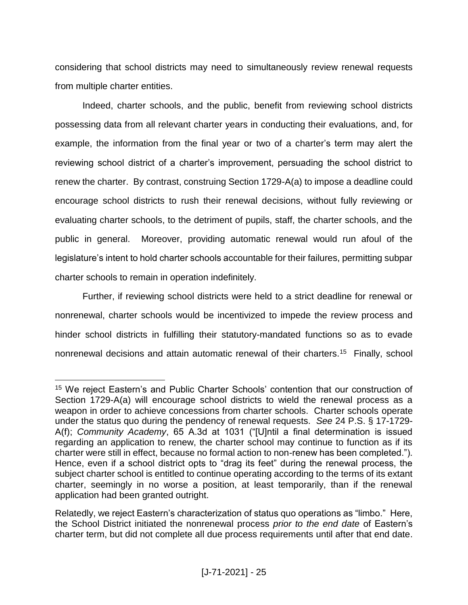considering that school districts may need to simultaneously review renewal requests from multiple charter entities.

Indeed, charter schools, and the public, benefit from reviewing school districts possessing data from all relevant charter years in conducting their evaluations, and, for example, the information from the final year or two of a charter's term may alert the reviewing school district of a charter's improvement, persuading the school district to renew the charter. By contrast, construing Section 1729-A(a) to impose a deadline could encourage school districts to rush their renewal decisions, without fully reviewing or evaluating charter schools, to the detriment of pupils, staff, the charter schools, and the public in general. Moreover, providing automatic renewal would run afoul of the legislature's intent to hold charter schools accountable for their failures, permitting subpar charter schools to remain in operation indefinitely.

Further, if reviewing school districts were held to a strict deadline for renewal or nonrenewal, charter schools would be incentivized to impede the review process and hinder school districts in fulfilling their statutory-mandated functions so as to evade nonrenewal decisions and attain automatic renewal of their charters.<sup>15</sup> Finally, school

<sup>15</sup> We reject Eastern's and Public Charter Schools' contention that our construction of Section 1729-A(a) will encourage school districts to wield the renewal process as a weapon in order to achieve concessions from charter schools. Charter schools operate under the status quo during the pendency of renewal requests. *See* 24 P.S. § 17-1729- A(f); *Community Academy*, 65 A.3d at 1031 ("[U]ntil a final determination is issued regarding an application to renew, the charter school may continue to function as if its charter were still in effect, because no formal action to non-renew has been completed."). Hence, even if a school district opts to "drag its feet" during the renewal process, the subject charter school is entitled to continue operating according to the terms of its extant charter, seemingly in no worse a position, at least temporarily, than if the renewal application had been granted outright.

Relatedly, we reject Eastern's characterization of status quo operations as "limbo." Here, the School District initiated the nonrenewal process *prior to the end date* of Eastern's charter term, but did not complete all due process requirements until after that end date.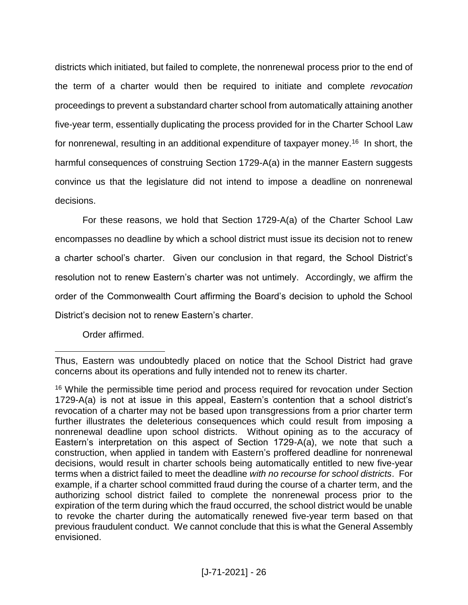districts which initiated, but failed to complete, the nonrenewal process prior to the end of the term of a charter would then be required to initiate and complete *revocation* proceedings to prevent a substandard charter school from automatically attaining another five-year term, essentially duplicating the process provided for in the Charter School Law for nonrenewal, resulting in an additional expenditure of taxpayer money.<sup>16</sup> In short, the harmful consequences of construing Section 1729-A(a) in the manner Eastern suggests convince us that the legislature did not intend to impose a deadline on nonrenewal decisions.

For these reasons, we hold that Section 1729-A(a) of the Charter School Law encompasses no deadline by which a school district must issue its decision not to renew a charter school's charter. Given our conclusion in that regard, the School District's resolution not to renew Eastern's charter was not untimely. Accordingly, we affirm the order of the Commonwealth Court affirming the Board's decision to uphold the School District's decision not to renew Eastern's charter.

Order affirmed.

Thus, Eastern was undoubtedly placed on notice that the School District had grave concerns about its operations and fully intended not to renew its charter.

<sup>&</sup>lt;sup>16</sup> While the permissible time period and process required for revocation under Section 1729-A(a) is not at issue in this appeal, Eastern's contention that a school district's revocation of a charter may not be based upon transgressions from a prior charter term further illustrates the deleterious consequences which could result from imposing a nonrenewal deadline upon school districts. Without opining as to the accuracy of Eastern's interpretation on this aspect of Section 1729-A(a), we note that such a construction, when applied in tandem with Eastern's proffered deadline for nonrenewal decisions, would result in charter schools being automatically entitled to new five-year terms when a district failed to meet the deadline *with no recourse for school districts*. For example, if a charter school committed fraud during the course of a charter term, and the authorizing school district failed to complete the nonrenewal process prior to the expiration of the term during which the fraud occurred, the school district would be unable to revoke the charter during the automatically renewed five-year term based on that previous fraudulent conduct. We cannot conclude that this is what the General Assembly envisioned.